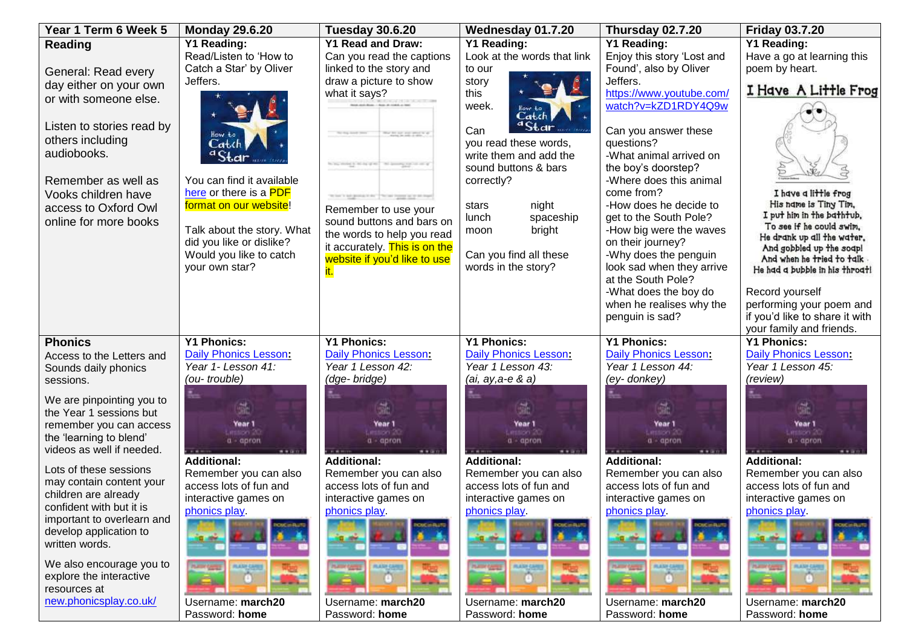| Year 1 Term 6 Week 5                                 | <b>Monday 29.6.20</b>               | <b>Tuesday 30.6.20</b>                                | Wednesday 01.7.20                   | Thursday 02.7.20                                | <b>Friday 03.7.20</b>                                  |
|------------------------------------------------------|-------------------------------------|-------------------------------------------------------|-------------------------------------|-------------------------------------------------|--------------------------------------------------------|
| Reading                                              | Y1 Reading:                         | <b>Y1 Read and Draw:</b>                              | <b>Y1 Reading:</b>                  | Y1 Reading:                                     | Y1 Reading:                                            |
|                                                      | Read/Listen to 'How to              | Can you read the captions                             | Look at the words that link         | Enjoy this story 'Lost and                      | Have a go at learning this                             |
| General: Read every                                  | Catch a Star' by Oliver             | linked to the story and                               | to our                              | Found', also by Oliver                          | poem by heart.                                         |
| day either on your own                               | Jeffers.                            | draw a picture to show                                | story                               | Jeffers.                                        | I Have A Little Frog                                   |
| or with someone else.                                |                                     | what it says?                                         | this                                | https://www.youtube.com/                        |                                                        |
|                                                      |                                     |                                                       | week.<br>Cat.cl                     | watch?v=kZD1RDY4Q9w                             |                                                        |
| Listen to stories read by                            |                                     |                                                       | ${}^{\alpha}$ Star<br>Can           | Can you answer these                            |                                                        |
| others including                                     | Catch                               | We are no man process at                              | you read these words,               | questions?                                      |                                                        |
| audiobooks.                                          | $a$ Star                            |                                                       | write them and add the              | -What animal arrived on                         |                                                        |
|                                                      |                                     | to be straight in the group of the demonstration of a | sound buttons & bars                | the boy's doorstep?                             |                                                        |
| Remember as well as                                  | You can find it available           |                                                       | correctly?                          | -Where does this animal                         |                                                        |
| Vooks children have                                  | here or there is a PDF              | What's ad-grandchild," "What from an or an input      |                                     | come from?                                      | I have a little frog                                   |
| access to Oxford Owl                                 | format on our website!              | Remember to use your                                  | night<br>stars                      | -How does he decide to                          | His name is Tiny Tim,                                  |
| online for more books                                |                                     | sound buttons and bars on                             | lunch<br>spaceship                  | get to the South Pole?                          | I put him in the bathtub.                              |
|                                                      | Talk about the story. What          | the words to help you read                            | bright<br>moon                      | -How big were the waves                         | To see if he could swim,<br>He drank up all the water. |
|                                                      | did you like or dislike?            | it accurately. This is on the                         |                                     | on their journey?                               | And gobbled up the soap!                               |
|                                                      | Would you like to catch             | website if you'd like to use                          | Can you find all these              | -Why does the penguin                           | And when he tried to talk                              |
|                                                      | your own star?                      |                                                       | words in the story?                 | look sad when they arrive<br>at the South Pole? | He had a bubble in his throat!                         |
|                                                      |                                     |                                                       |                                     | -What does the boy do                           | Record yourself                                        |
|                                                      |                                     |                                                       |                                     | when he realises why the                        | performing your poem and                               |
|                                                      |                                     |                                                       |                                     | penguin is sad?                                 | if you'd like to share it with                         |
|                                                      |                                     |                                                       |                                     |                                                 | your family and friends.                               |
| <b>Phonics</b>                                       | <b>Y1 Phonics:</b>                  | <b>Y1 Phonics:</b>                                    | <b>Y1 Phonics:</b>                  | <b>Y1 Phonics:</b>                              | <b>Y1 Phonics:</b>                                     |
| Access to the Letters and                            | Daily Phonics Lesson:               | Daily Phonics Lesson:                                 | Daily Phonics Lesson:               | Daily Phonics Lesson:                           | Daily Phonics Lesson:                                  |
| Sounds daily phonics                                 | Year 1- Lesson 41:                  | Year 1 Lesson 42:                                     | Year 1 Lesson 43:                   | Year 1 Lesson 44:                               | Year 1 Lesson 45:                                      |
| sessions.                                            | (ou-trouble)                        | (dge- bridge)                                         | (ai, ay,a-e & a)                    | (ey-donkey)                                     | (review)                                               |
|                                                      |                                     |                                                       |                                     |                                                 |                                                        |
| We are pinpointing you to<br>the Year 1 sessions but | 臦                                   |                                                       |                                     |                                                 |                                                        |
| remember you can access                              | Year 1                              | Year 1                                                | Year 1                              | Year 1                                          | Year 1                                                 |
| the 'learning to blend'                              | <b>RESIDENT DE</b><br>$a - a$ pron  | . emission 20<br>$a - a$ pron                         | <b>ALLISON DC</b><br>$a - a$ pron   | stration 50<br>$a - a$ pron                     | mation <sup>20</sup><br>$a - a$ pron                   |
| videos as well if needed.                            | $-0.000$                            | ****                                                  |                                     | ****                                            |                                                        |
|                                                      | <b>Additional:</b>                  | <b>Additional:</b>                                    | <b>Additional:</b>                  | <b>Additional:</b>                              | <b>Additional:</b>                                     |
| Lots of these sessions                               | Remember you can also               | Remember you can also                                 | Remember you can also               | Remember you can also                           | Remember you can also                                  |
| may contain content your<br>children are already     | access lots of fun and              | access lots of fun and                                | access lots of fun and              | access lots of fun and                          | access lots of fun and                                 |
| confident with but it is                             | interactive games on                | interactive games on                                  | interactive games on                | interactive games on                            | interactive games on                                   |
| important to overlearn and                           | phonics play.                       | phonics play.                                         | phonics play.                       | phonics play.                                   | phonics play.                                          |
| develop application to                               | <b>CARGO PLUTO</b>                  |                                                       | <b>CUC</b> in RUT                   | <b>CIACIPI RUS</b>                              |                                                        |
| written words.                                       |                                     |                                                       |                                     |                                                 |                                                        |
|                                                      |                                     |                                                       |                                     |                                                 |                                                        |
| We also encourage you to                             | <b>ALLIE CANTS</b>                  | <b>CASH CASH</b>                                      | <b>PLAZE CARE</b>                   | <b>PLASH CARD</b>                               | <b>PLAZE CARS</b>                                      |
| explore the interactive                              |                                     |                                                       |                                     |                                                 |                                                        |
| resources at<br>new.phonicsplay.co.uk/               |                                     |                                                       |                                     |                                                 |                                                        |
|                                                      | Username: march20<br>Password: home | Username: march20<br>Password: home                   | Username: march20<br>Password: home | Username: march20<br>Password: home             | Username: march20<br>Password: home                    |
|                                                      |                                     |                                                       |                                     |                                                 |                                                        |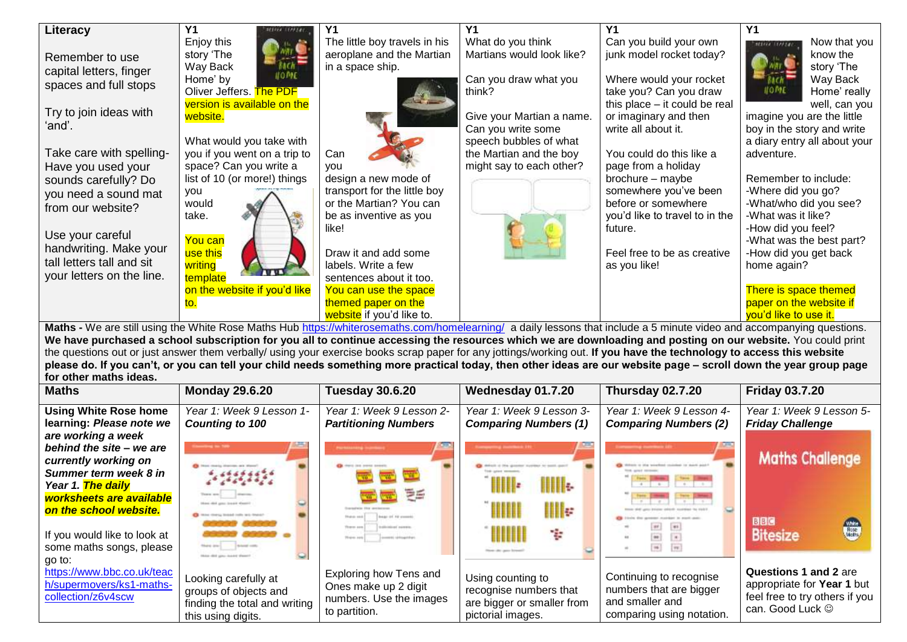| Literacy                                                                                                                                                               | Y <sub>1</sub>               |                               | Y <sub>1</sub>            |                                | <b>Y1</b>                     |  |
|------------------------------------------------------------------------------------------------------------------------------------------------------------------------|------------------------------|-------------------------------|---------------------------|--------------------------------|-------------------------------|--|
|                                                                                                                                                                        | Enjoy this                   | The little boy travels in his | What do you think         | Can you build your own         | Now that you<br>stices (EPFLe |  |
| Remember to use                                                                                                                                                        | story 'The                   | aeroplane and the Martian     | Martians would look like? | junk model rocket today?       | know the                      |  |
| capital letters, finger                                                                                                                                                | Way Back                     | in a space ship.              |                           |                                | story 'The                    |  |
|                                                                                                                                                                        | Home' by                     |                               | Can you draw what you     | Where would your rocket        | Way Back                      |  |
| spaces and full stops                                                                                                                                                  | Oliver Jeffers. The PDF      |                               | think?                    | take you? Can you draw         | IO ME<br>Home' really         |  |
|                                                                                                                                                                        | version is available on the  |                               |                           | this place - it could be real  | well, can you                 |  |
| Try to join ideas with                                                                                                                                                 | website.                     |                               | Give your Martian a name. | or imaginary and then          | imagine you are the little    |  |
| 'and'.                                                                                                                                                                 |                              |                               | Can you write some        | write all about it.            | boy in the story and write    |  |
|                                                                                                                                                                        | What would you take with     |                               | speech bubbles of what    |                                | a diary entry all about your  |  |
| Take care with spelling-                                                                                                                                               | you if you went on a trip to | Can                           | the Martian and the boy   | You could do this like a       | adventure.                    |  |
| Have you used your                                                                                                                                                     | space? Can you write a       | vou                           | might say to each other?  | page from a holiday            |                               |  |
| sounds carefully? Do                                                                                                                                                   | list of 10 (or more!) things | design a new mode of          |                           | brochure - maybe               | Remember to include:          |  |
| you need a sound mat                                                                                                                                                   | you                          | transport for the little boy  |                           | somewhere you've been          | -Where did you go?            |  |
| from our website?                                                                                                                                                      | would                        | or the Martian? You can       |                           | before or somewhere            | -What/who did you see?        |  |
|                                                                                                                                                                        | take.                        | be as inventive as you        |                           | you'd like to travel to in the | -What was it like?            |  |
|                                                                                                                                                                        |                              | like!                         |                           | future.                        | -How did you feel?            |  |
| Use your careful                                                                                                                                                       | You can                      |                               |                           |                                | -What was the best part?      |  |
| handwriting. Make your                                                                                                                                                 | use this                     | Draw it and add some          |                           | Feel free to be as creative    | -How did you get back         |  |
| tall letters tall and sit                                                                                                                                              | writing                      | labels. Write a few           |                           | as you like!                   | home again?                   |  |
| your letters on the line.                                                                                                                                              | template                     | sentences about it too.       |                           |                                |                               |  |
|                                                                                                                                                                        | on the website if you'd like | You can use the space         |                           |                                | There is space themed         |  |
|                                                                                                                                                                        |                              | themed paper on the           |                           |                                | paper on the website if       |  |
|                                                                                                                                                                        |                              | website if you'd like to.     |                           |                                | vou'd like to use it.         |  |
| Maths - We are still using the White Rose Maths Hub https://whiterosemaths.com/homelearning/ a daily lessons that include a 5 minute video and accompanying questions. |                              |                               |                           |                                |                               |  |

**Maths** - We are still using the White Rose Maths Hub<https://whiterosemaths.com/homelearning/>a daily lessons that include a 5 minute video and accompanying questions. **We have purchased a school subscription for you all to continue accessing the resources which we are downloading and posting on our website.** You could print the questions out or just answer them verbally/ using your exercise books scrap paper for any jottings/working out. **If you have the technology to access this website please do. If you can't, or you can tell your child needs something more practical today, then other ideas are our website page – scroll down the year group page for other maths ideas.**

| <b>Maths</b>                                                                                                                        | <b>Monday 29.6.20</b>                                                                                | <b>Tuesday 30.6.20</b>                                                                                                           | Wednesday 01.7.20                                                                              | Thursday 02.7.20                                                                                   | <b>Friday 03.7.20</b>                                                                                     |
|-------------------------------------------------------------------------------------------------------------------------------------|------------------------------------------------------------------------------------------------------|----------------------------------------------------------------------------------------------------------------------------------|------------------------------------------------------------------------------------------------|----------------------------------------------------------------------------------------------------|-----------------------------------------------------------------------------------------------------------|
| <b>Using White Rose home</b>                                                                                                        | Year 1: Week 9 Lesson 1-                                                                             | Year 1: Week 9 Lesson 2-                                                                                                         | Year 1: Week 9 Lesson 3-                                                                       | Year 1: Week 9 Lesson 4-                                                                           | Year 1: Week 9 Lesson 5-                                                                                  |
| learning: Please note we<br>are working a week                                                                                      | Counting to 100                                                                                      | <b>Partitioning Numbers</b>                                                                                                      | <b>Comparing Numbers (1)</b>                                                                   | <b>Comparing Numbers (2)</b>                                                                       | <b>Friday Challenge</b>                                                                                   |
| behind the site - we are<br>currently working on<br>Summer term week 8 in                                                           | Non maria dramas are stood!<br>7.7777777878                                                          | <b>POTATALISMEN</b> INCOMERCY<br>Ch there can seems areasts.                                                                     | IIII.                                                                                          | the same of the same                                                                               | <b>Maths Challenge</b>                                                                                    |
| Year 1. The daily<br>worksheets are available<br>on the school website.<br>If you would like to look at<br>some maths songs, please | be close to linear colls with financi-<br>there are !                                                | 手手<br>Broker (8) 10 stressed<br><b><i><u>SARAHANT MARKET</u></i></b><br>Flores and<br>78 (pm) 2010<br>2-accounts raintingstatus) | IIII⊯<br>÷                                                                                     | <b>Free</b><br>$\Rightarrow$<br> m                                                                 | <b>BBC</b><br><b>Bitesize</b>                                                                             |
| go to:<br>https://www.bbc.co.uk/teac<br>h/supermovers/ks1-maths-<br>collection/z6v4scw                                              | Looking carefully at<br>groups of objects and<br>finding the total and writing<br>this using digits. | Exploring how Tens and<br>Ones make up 2 digit<br>numbers. Use the images<br>to partition.                                       | Using counting to<br>recognise numbers that<br>are bigger or smaller from<br>pictorial images. | Continuing to recognise<br>numbers that are bigger<br>and smaller and<br>comparing using notation. | Questions 1 and 2 are<br>appropriate for Year 1 but<br>feel free to try others if you<br>can. Good Luck © |